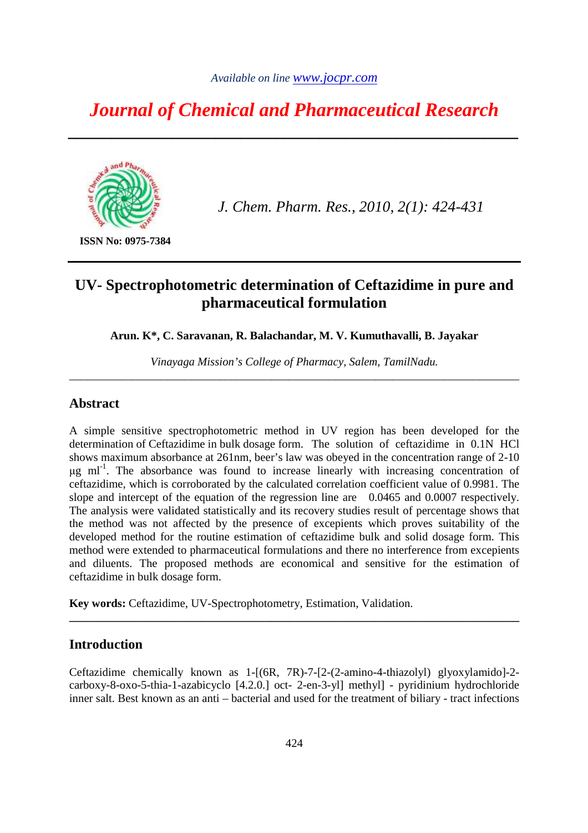*Journal of Chemical and Pharmaceutical Research* 

*\_\_\_\_\_\_\_\_\_\_\_\_\_\_\_\_\_\_\_\_\_\_\_\_\_\_\_\_\_\_\_\_\_\_\_\_\_\_\_\_\_\_\_\_\_\_\_\_\_\_\_\_* 



**ISSN No: 0975-7384** 

*J. Chem. Pharm. Res., 2010, 2(1): 424-431*

# **UV- Spectrophotometric determination of Ceftazidime in pure and pharmaceutical formulation**

**Arun. K\*, C. Saravanan, R. Balachandar, M. V. Kumuthavalli, B. Jayakar** 

*Vinayaga Mission's College of Pharmacy, Salem, TamilNadu. \_\_\_\_\_\_\_\_\_\_\_\_\_\_\_\_\_\_\_\_\_\_\_\_\_\_\_\_\_\_\_\_\_\_\_\_\_\_\_\_\_\_\_\_\_\_\_\_\_\_\_\_\_\_\_\_\_\_\_\_\_\_\_\_\_\_\_\_\_\_\_\_\_\_\_\_\_\_* 

# **Abstract**

A simple sensitive spectrophotometric method in UV region has been developed for the determination of Ceftazidime in bulk dosage form. The solution of ceftazidime in 0.1N HCl shows maximum absorbance at 261nm, beer's law was obeyed in the concentration range of 2-10  $\mu$ g ml<sup>-1</sup>. The absorbance was found to increase linearly with increasing concentration of ceftazidime, which is corroborated by the calculated correlation coefficient value of 0.9981. The slope and intercept of the equation of the regression line are 0.0465 and 0.0007 respectively. The analysis were validated statistically and its recovery studies result of percentage shows that the method was not affected by the presence of excepients which proves suitability of the developed method for the routine estimation of ceftazidime bulk and solid dosage form. This method were extended to pharmaceutical formulations and there no interference from excepients and diluents. The proposed methods are economical and sensitive for the estimation of ceftazidime in bulk dosage form.

**Key words:** Ceftazidime, UV-Spectrophotometry, Estimation, Validation.

# **Introduction**

Ceftazidime chemically known as 1-[(6R, 7R)-7-[2-(2-amino-4-thiazolyl) glyoxylamido]-2 carboxy-8-oxo-5-thia-1-azabicyclo [4.2.0.] oct- 2-en-3-yl] methyl] - pyridinium hydrochloride inner salt. Best known as an anti – bacterial and used for the treatment of biliary - tract infections

**\_\_\_\_\_\_\_\_\_\_\_\_\_\_\_\_\_\_\_\_\_\_\_\_\_\_\_\_\_\_\_\_\_\_\_\_\_\_\_\_\_\_\_\_\_\_\_\_\_\_\_\_\_\_\_\_\_\_\_\_\_\_\_\_\_\_\_\_\_\_\_\_\_\_\_\_\_\_**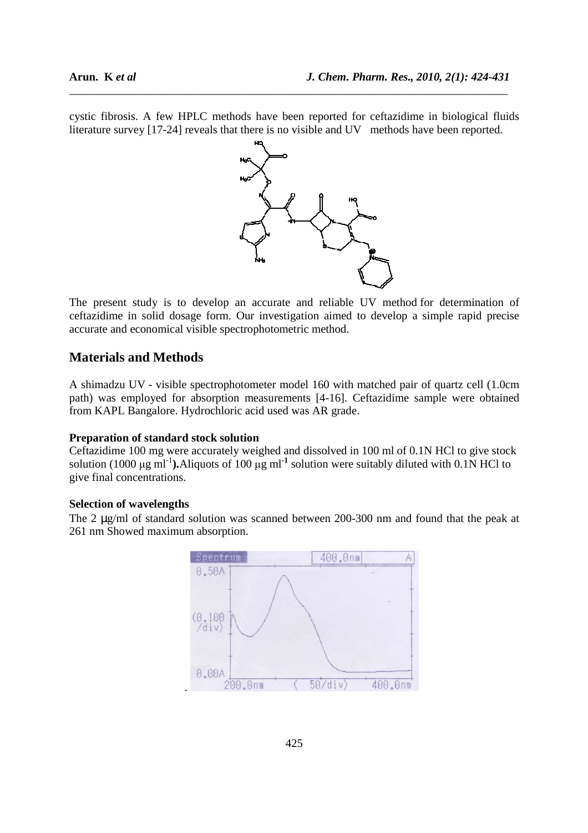cystic fibrosis. A few HPLC methods have been reported for ceftazidime in biological fluids literature survey [17-24] reveals that there is no visible and UV methods have been reported.

*\_\_\_\_\_\_\_\_\_\_\_\_\_\_\_\_\_\_\_\_\_\_\_\_\_\_\_\_\_\_\_\_\_\_\_\_\_\_\_\_\_\_\_\_\_\_\_\_\_\_\_\_\_\_\_\_\_\_\_\_\_\_\_\_\_\_\_\_\_\_\_\_\_\_\_\_* 



The present study is to develop an accurate and reliable UV method for determination of ceftazidime in solid dosage form. Our investigation aimed to develop a simple rapid precise accurate and economical visible spectrophotometric method.

# **Materials and Methods**

A shimadzu UV - visible spectrophotometer model 160 with matched pair of quartz cell (1.0cm path) was employed for absorption measurements [4-16]. Ceftazidime sample were obtained from KAPL Bangalore. Hydrochloric acid used was AR grade.

### **Preparation of standard stock solution**

Ceftazidime 100 mg were accurately weighed and dissolved in 100 ml of 0.1N HCl to give stock solution (1000  $\mu$ g ml<sup>-1</sup>). Aliquots of 100  $\mu$ g ml<sup>-1</sup> solution were suitably diluted with 0.1N HCl to give final concentrations.

### **Selection of wavelengths**

The 2 µg/ml of standard solution was scanned between 200-300 nm and found that the peak at 261 nm Showed maximum absorption.

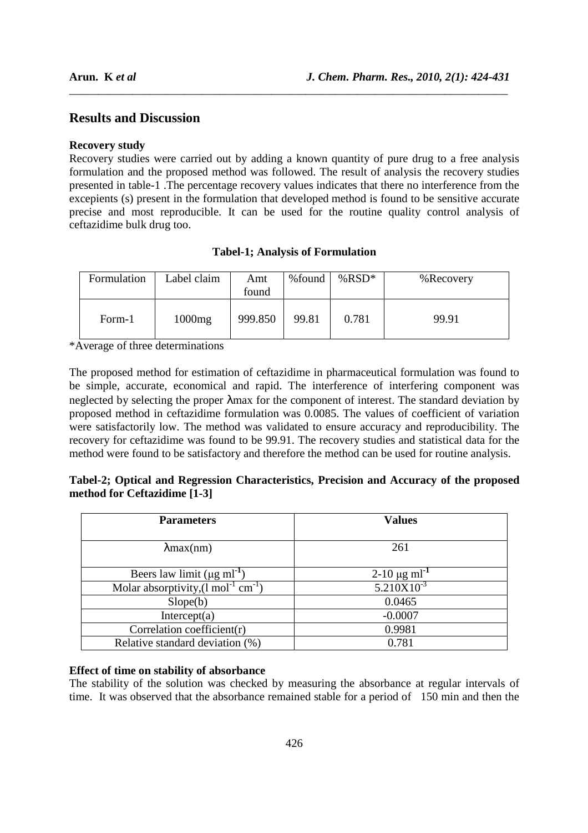# **Results and Discussion**

### **Recovery study**

Recovery studies were carried out by adding a known quantity of pure drug to a free analysis formulation and the proposed method was followed. The result of analysis the recovery studies presented in table-1 .The percentage recovery values indicates that there no interference from the excepients (s) present in the formulation that developed method is found to be sensitive accurate precise and most reproducible. It can be used for the routine quality control analysis of ceftazidime bulk drug too.

*\_\_\_\_\_\_\_\_\_\_\_\_\_\_\_\_\_\_\_\_\_\_\_\_\_\_\_\_\_\_\_\_\_\_\_\_\_\_\_\_\_\_\_\_\_\_\_\_\_\_\_\_\_\_\_\_\_\_\_\_\_\_\_\_\_\_\_\_\_\_\_\_\_\_\_\_* 

### **Tabel-1; Analysis of Formulation**

| Formulation | Label claim | Amt<br>found | %found | $%$ RSD $*$ | %Recovery |
|-------------|-------------|--------------|--------|-------------|-----------|
| Form-1      | 1000mg      | 999.850      | 99.81  | 0.781       | 99.91     |

\*Average of three determinations

The proposed method for estimation of ceftazidime in pharmaceutical formulation was found to be simple, accurate, economical and rapid. The interference of interfering component was neglected by selecting the proper λmax for the component of interest. The standard deviation by proposed method in ceftazidime formulation was 0.0085. The values of coefficient of variation were satisfactorily low. The method was validated to ensure accuracy and reproducibility. The recovery for ceftazidime was found to be 99.91. The recovery studies and statistical data for the method were found to be satisfactory and therefore the method can be used for routine analysis.

### **Tabel-2; Optical and Regression Characteristics, Precision and Accuracy of the proposed method for Ceftazidime [1-3]**

| <b>Parameters</b>                                          | <b>Values</b>                |
|------------------------------------------------------------|------------------------------|
| $\lambda$ max $(nm)$                                       | 261                          |
| Beers law limit $(\mu g \text{ ml}^{-1})$                  | $2-10 \mu g \text{ ml}^{-1}$ |
| Molar absorptivity, $(1 \text{ mol}^{-1} \text{ cm}^{-1})$ | $5.210X10^{-3}$              |
| Slope(b)                                                   | 0.0465                       |
| Intercept $(a)$                                            | $-0.0007$                    |
| Correlation coefficient( $r$ )                             | 0.9981                       |
| Relative standard deviation (%)                            | 0.781                        |

### **Effect of time on stability of absorbance**

The stability of the solution was checked by measuring the absorbance at regular intervals of time. It was observed that the absorbance remained stable for a period of 150 min and then the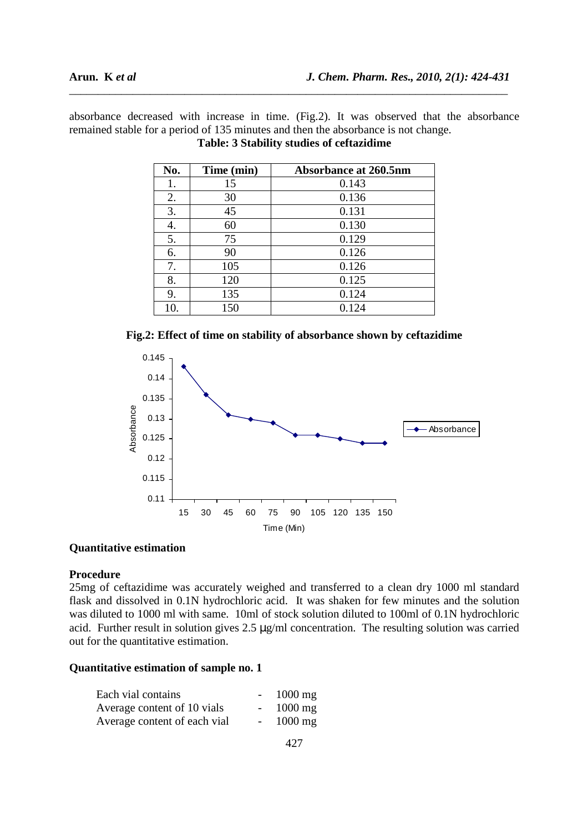absorbance decreased with increase in time. (Fig.2). It was observed that the absorbance remained stable for a period of 135 minutes and then the absorbance is not change. **Table: 3 Stability studies of ceftazidime** 

*\_\_\_\_\_\_\_\_\_\_\_\_\_\_\_\_\_\_\_\_\_\_\_\_\_\_\_\_\_\_\_\_\_\_\_\_\_\_\_\_\_\_\_\_\_\_\_\_\_\_\_\_\_\_\_\_\_\_\_\_\_\_\_\_\_\_\_\_\_\_\_\_\_\_\_\_* 

| No. | Time (min) | <b>Absorbance at 260.5nm</b> |
|-----|------------|------------------------------|
| 1.  | 15         | 0.143                        |
| 2.  | 30         | 0.136                        |
| 3.  | 45         | 0.131                        |
| 4.  | 60         | 0.130                        |
| 5.  | 75         | 0.129                        |
| 6.  | 90         | 0.126                        |
| 7.  | 105        | 0.126                        |
| 8.  | 120        | 0.125                        |
| 9.  | 135        | 0.124                        |
| 10. | 150        | 0.124                        |

**Fig.2: Effect of time on stability of absorbance shown by ceftazidime** 



# **Quantitative estimation**

### **Procedure**

25mg of ceftazidime was accurately weighed and transferred to a clean dry 1000 ml standard flask and dissolved in 0.1N hydrochloric acid. It was shaken for few minutes and the solution was diluted to 1000 ml with same. 10ml of stock solution diluted to 100ml of 0.1N hydrochloric acid. Further result in solution gives 2.5 µg/ml concentration. The resulting solution was carried out for the quantitative estimation.

### **Quantitative estimation of sample no. 1**

| Each vial contains           |                 | $1000 \text{ mg}$ |
|------------------------------|-----------------|-------------------|
| Average content of 10 vials  | $\sim$ 10 $\pm$ | $1000$ mg         |
| Average content of each vial |                 | $1000$ mg         |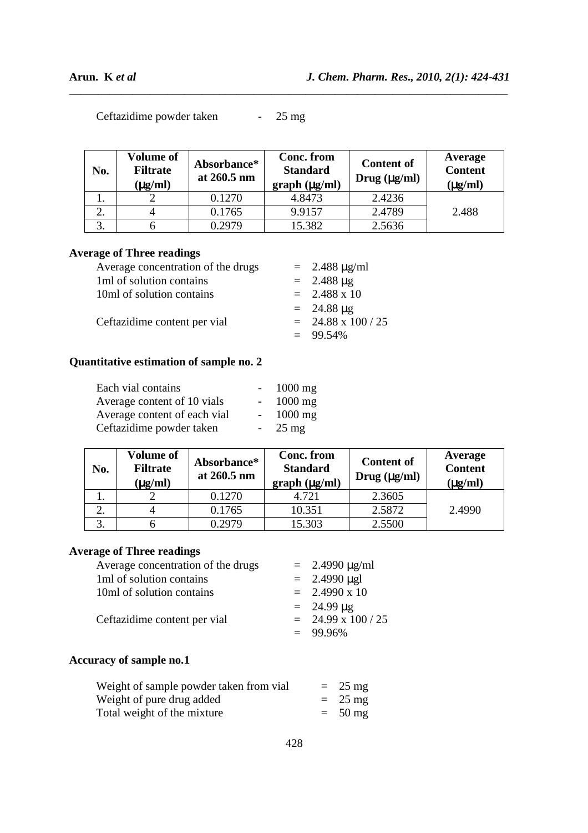| No. | <b>Volume of</b><br><b>Filtrate</b><br>$(\mu g/ml)$ | Absorbance*<br>at 260.5 nm | Conc. from<br><b>Standard</b><br>graph (µg/ml) | <b>Content of</b><br>Drug $(\mu g/ml)$ | Average<br><b>Content</b><br>$(\mu g/ml)$ |
|-----|-----------------------------------------------------|----------------------------|------------------------------------------------|----------------------------------------|-------------------------------------------|
|     |                                                     | 0.1270                     | 4.8473                                         | 2.4236                                 |                                           |
| ۷.  |                                                     | 0.1765                     | 9.9157                                         | 2.4789                                 | 2.488                                     |
| 3.  |                                                     | 0.2979                     | 15.382                                         | 2.5636                                 |                                           |

*\_\_\_\_\_\_\_\_\_\_\_\_\_\_\_\_\_\_\_\_\_\_\_\_\_\_\_\_\_\_\_\_\_\_\_\_\_\_\_\_\_\_\_\_\_\_\_\_\_\_\_\_\_\_\_\_\_\_\_\_\_\_\_\_\_\_\_\_\_\_\_\_\_\_\_\_* 

Ceftazidime powder taken - 25 mg

# **Average of Three readings**

| Average concentration of the drugs | $= 2.488 \,\mathrm{\mu g/ml}$ |
|------------------------------------|-------------------------------|
| 1ml of solution contains           | $= 2.488 \,\mu g$             |
| 10ml of solution contains          | $= 2.488 \times 10$           |
|                                    | $= 24.88 \,\mu g$             |
| Ceftazidime content per vial       | $= 24.88 \times 100 / 25$     |
|                                    | $= 99.54\%$                   |

# **Quantitative estimation of sample no. 2**

|                | $1000 \text{ mg}$ |
|----------------|-------------------|
| $\blacksquare$ | $1000$ mg         |
| $\blacksquare$ | $1000$ mg         |
| $\sim$ $-$     | $25 \text{ mg}$   |
|                |                   |

| No.          | <b>Volume of</b><br><b>Filtrate</b><br>$(\mu g/ml)$ | Absorbance*<br>at 260.5 nm | Conc. from<br><b>Standard</b><br>graph (µg/ml) | <b>Content of</b><br>Drug (µg/ml) | Average<br><b>Content</b><br>$(\mu g/ml)$ |
|--------------|-----------------------------------------------------|----------------------------|------------------------------------------------|-----------------------------------|-------------------------------------------|
|              |                                                     | 0.1270                     | 4.721                                          | 2.3605                            |                                           |
| $\bigcap$    | 4                                                   | 0.1765                     | 10.351                                         | 2.5872                            | 2.4990                                    |
| $\mathbf{z}$ |                                                     | 0.2979                     | 15.303                                         | 2.5500                            |                                           |

# **Average of Three readings**

| Average concentration of the drugs | $= 2.4990 \text{ µg/ml}$  |
|------------------------------------|---------------------------|
| 1ml of solution contains           | $= 2.4990 \mu gl$         |
| 10ml of solution contains          | $= 2.4990 \times 10$      |
|                                    | $= 24.99 \,\mu g$         |
| Ceftazidime content per vial       | $= 24.99 \times 100 / 25$ |
|                                    | $= 99.96\%$               |

# **Accuracy of sample no.1**

| Weight of sample powder taken from vial | $= 25 \text{ mg}$ |
|-----------------------------------------|-------------------|
| Weight of pure drug added               | $= 25 \text{ mg}$ |
| Total weight of the mixture             | $=$ 50 mg         |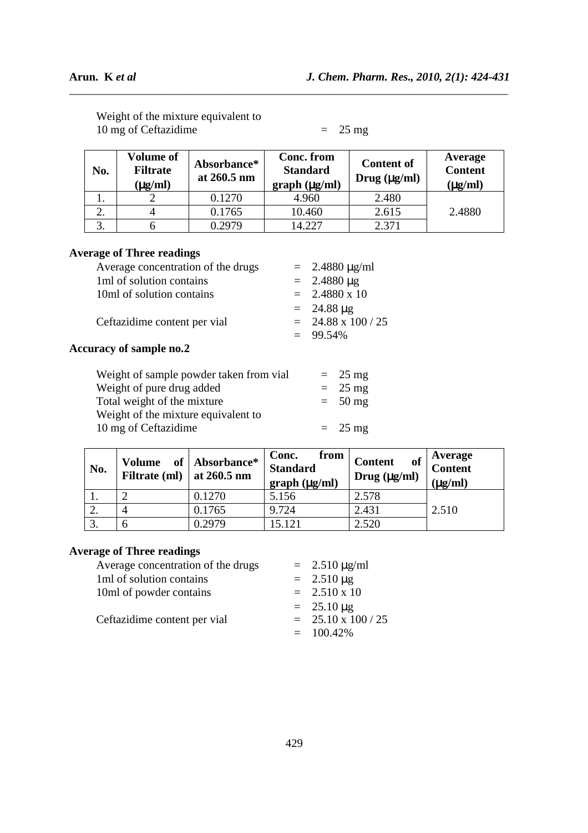| No. | <b>Volume of</b><br><b>Filtrate</b><br>$(\mu g/ml)$ | Absorbance*<br>at 260.5 nm | Conc. from<br><b>Standard</b><br>graph (µg/ml) | <b>Content of</b><br>Drug (µg/ml) | Average<br><b>Content</b><br>$(\mu g/ml)$ |
|-----|-----------------------------------------------------|----------------------------|------------------------------------------------|-----------------------------------|-------------------------------------------|
|     |                                                     | 0.1270                     | 4.960                                          | 2.480                             |                                           |
| 2.  |                                                     | 0.1765                     | 10.460                                         | 2.615                             | 2.4880                                    |
| 3.  |                                                     | 0.2979                     | 14.227                                         | 2.371                             |                                           |

*\_\_\_\_\_\_\_\_\_\_\_\_\_\_\_\_\_\_\_\_\_\_\_\_\_\_\_\_\_\_\_\_\_\_\_\_\_\_\_\_\_\_\_\_\_\_\_\_\_\_\_\_\_\_\_\_\_\_\_\_\_\_\_\_\_\_\_\_\_\_\_\_\_\_\_\_* 

 Weight of the mixture equivalent to 10 mg of Ceftazidime  $= 25 \text{ mg}$ 

# **Average of Three readings**

| Average concentration of the drugs      |                    | $= 2.4880 \,\mu g/ml$     |
|-----------------------------------------|--------------------|---------------------------|
| 1ml of solution contains                | $= 2.4880 \,\mu g$ |                           |
| 10ml of solution contains               |                    | $= 2.4880 \times 10$      |
|                                         | $= 24.88 \,\mu g$  |                           |
| Ceftazidime content per vial            |                    | $= 24.88 \times 100 / 25$ |
|                                         | $= 99.54\%$        |                           |
| <b>Accuracy of sample no.2</b>          |                    |                           |
| Weight of sample powder taken from vial |                    | $= 25 \text{ mg}$         |
| Weight of pure drug added               |                    | $= 25 \text{ mg}$         |
| Total weight of the mixture             |                    | $= 50$ mg                 |

 $10 \text{ mg of Ceftazidine} = 25 \text{ mg}$ 

| No.                | Volume<br>Filtrate (ml) | of Absorbance*<br>at 260.5 nm | from<br>Conc.<br><b>Standard</b><br>graph (µg/ml) | <b>Content</b><br>of<br>Drug $(\mu g/ml)$ | <b>Average</b><br><b>Content</b><br>$(\mu g/ml)$ |  |
|--------------------|-------------------------|-------------------------------|---------------------------------------------------|-------------------------------------------|--------------------------------------------------|--|
|                    |                         | 0.1270                        | 5.156                                             | 2.578                                     |                                                  |  |
| 2.                 |                         | 0.1765                        | 9.724                                             | 2.431                                     | 2.510                                            |  |
| $\mathbf{c}$<br>ິ. |                         | 0.2979                        | 15.121                                            | 2.520                                     |                                                  |  |

# **Average of Three readings**

| Average concentration of the drugs | $= 2.510 \,\mu g/ml$      |
|------------------------------------|---------------------------|
| 1ml of solution contains           | $= 2.510 \,\mu g$         |
| 10ml of powder contains            | $= 2.510 \times 10$       |
|                                    | $= 25.10 \,\mu g$         |
| Ceftazidime content per vial       | $= 25.10 \times 100 / 25$ |
|                                    | $= 100.42\%$              |

# Accu

Weight of the mixture equivalent to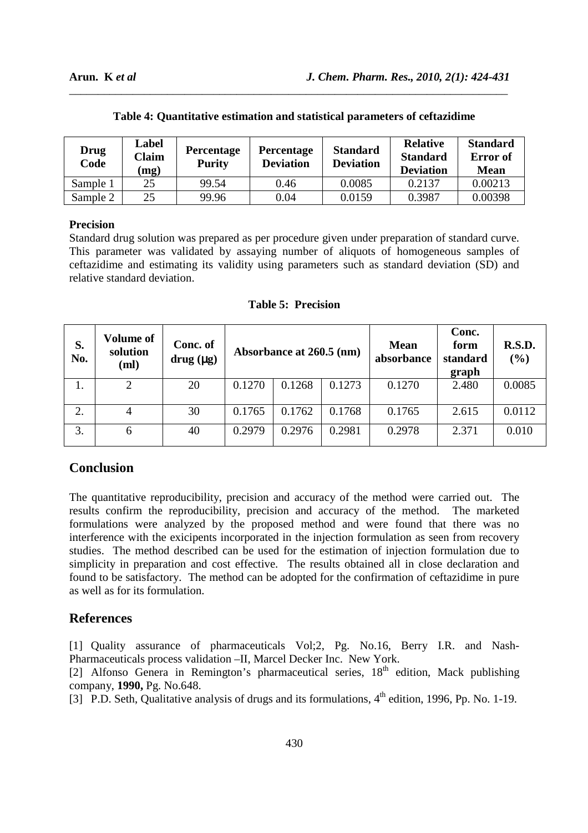| Drug<br>Code | Label<br>Claim<br>(mg) | Percentage<br><b>Purity</b> | Percentage<br><b>Deviation</b> | <b>Standard</b><br><b>Deviation</b> | <b>Relative</b><br><b>Standard</b><br><b>Deviation</b> | <b>Standard</b><br><b>Error</b> of<br><b>Mean</b> |
|--------------|------------------------|-----------------------------|--------------------------------|-------------------------------------|--------------------------------------------------------|---------------------------------------------------|
| Sample 1     | 25                     | 99.54                       | 0.46                           | 0.0085                              | 0.2137                                                 | 0.00213                                           |
| Sample 2     | 25                     | 99.96                       | 0.04                           | 0.0159                              | 0.3987                                                 | 0.00398                                           |

### **Table 4: Quantitative estimation and statistical parameters of ceftazidime**

*\_\_\_\_\_\_\_\_\_\_\_\_\_\_\_\_\_\_\_\_\_\_\_\_\_\_\_\_\_\_\_\_\_\_\_\_\_\_\_\_\_\_\_\_\_\_\_\_\_\_\_\_\_\_\_\_\_\_\_\_\_\_\_\_\_\_\_\_\_\_\_\_\_\_\_\_* 

### **Precision**

Standard drug solution was prepared as per procedure given under preparation of standard curve. This parameter was validated by assaying number of aliquots of homogeneous samples of ceftazidime and estimating its validity using parameters such as standard deviation (SD) and relative standard deviation.

| S.<br>No. | <b>Volume of</b><br>solution<br>(ml) | Conc. of<br>drug (µg) | Absorbance at 260.5 (nm) |        |        | <b>Mean</b><br>absorbance | Conc.<br>form<br>standard<br>graph | R.S.D.<br>$(\%)$ |
|-----------|--------------------------------------|-----------------------|--------------------------|--------|--------|---------------------------|------------------------------------|------------------|
| ı.        | 2                                    | 20                    | 0.1270                   | 0.1268 | 0.1273 | 0.1270                    | 2.480                              | 0.0085           |
| 2.        | 4                                    | 30                    | 0.1765                   | 0.1762 | 0.1768 | 0.1765                    | 2.615                              | 0.0112           |
| 3.        | 6                                    | 40                    | 0.2979                   | 0.2976 | 0.2981 | 0.2978                    | 2.371                              | 0.010            |

**Table 5: Precision** 

# **Conclusion**

The quantitative reproducibility, precision and accuracy of the method were carried out. The results confirm the reproducibility, precision and accuracy of the method. The marketed formulations were analyzed by the proposed method and were found that there was no interference with the exicipents incorporated in the injection formulation as seen from recovery studies. The method described can be used for the estimation of injection formulation due to simplicity in preparation and cost effective. The results obtained all in close declaration and found to be satisfactory. The method can be adopted for the confirmation of ceftazidime in pure as well as for its formulation.

## **References**

[1] Quality assurance of pharmaceuticals Vol;2, Pg. No.16, Berry I.R. and Nash-Pharmaceuticals process validation –II, Marcel Decker Inc. New York.

[2] Alfonso Genera in Remington's pharmaceutical series,  $18<sup>th</sup>$  edition, Mack publishing company, **1990,** Pg. No.648.

[3] P.D. Seth, Qualitative analysis of drugs and its formulations,  $4<sup>th</sup>$  edition, 1996, Pp. No. 1-19.